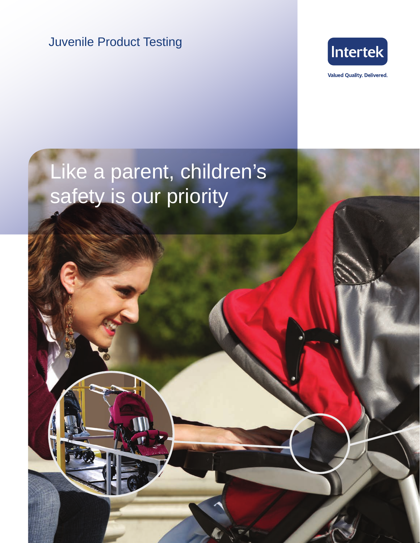Juvenile Product Testing



**Valued Quality. Delivered.** 

# Like a parent, children's safety is our priority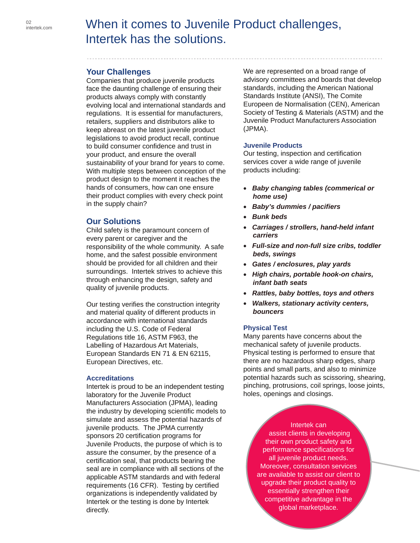## When it comes to Juvenile Product challenges, Intertek has the solutions.

## **Your Challenges**

Companies that produce juvenile products face the daunting challenge of ensuring their products always comply with constantly evolving local and international standards and regulations. It is essential for manufacturers, retailers, suppliers and distributors alike to keep abreast on the latest juvenile product legislations to avoid product recall, continue to build consumer confidence and trust in your product, and ensure the overall sustainability of your brand for years to come. With multiple steps between conception of the product design to the moment it reaches the hands of consumers, how can one ensure their product complies with every check point in the supply chain?

### **Our Solutions**

Child safety is the paramount concern of every parent or caregiver and the responsibility of the whole community. A safe home, and the safest possible environment should be provided for all children and their surroundings. Intertek strives to achieve this through enhancing the design, safety and quality of juvenile products.

Our testing verifies the construction integrity and material quality of different products in accordance with international standards including the U.S. Code of Federal Regulations title 16, ASTM F963, the Labelling of Hazardous Art Materials, European Standards EN 71 & EN 62115, European Directives, etc.

#### **Accreditations**

Intertek is proud to be an independent testing laboratory for the Juvenile Product Manufacturers Association (JPMA), leading the industry by developing scientific models to simulate and assess the potential hazards of juvenile products. The JPMA currently sponsors 20 certification programs for Juvenile Products, the purpose of which is to assure the consumer, by the presence of a certification seal, that products bearing the seal are in compliance with all sections of the applicable ASTM standards and with federal requirements (16 CFR). Testing by certified organizations is independently validated by Intertek or the testing is done by Intertek directly.

We are represented on a broad range of advisory committees and boards that develop standards, including the American National Standards Institute (ANSI), The Comite Europeen de Normalisation (CEN), American Society of Testing & Materials (ASTM) and the Juvenile Product Manufacturers Association (JPMA).

#### **Juvenile Products**

Our testing, inspection and certification services cover a wide range of juvenile products including:

- • *Baby changing tables (commerical or home use)*
- • *Baby's dummies / pacifiers*
- • *Bunk beds*
- • *Carriages / strollers, hand-held infant carriers*
- • *Full-size and non-full size cribs, toddler beds, swings*
- • *Gates / enclosures, play yards*
- • *High chairs, portable hook-on chairs, infant bath seats*
- • *Rattles, baby bottles, toys and others*
- • *Walkers, stationary activity centers, bouncers*

#### **Physical Test**

Many parents have concerns about the mechanical safety of juvenile products. Physical testing is performed to ensure that there are no hazardous sharp edges, sharp points and small parts, and also to minimize potential hazards such as scissoring, shearing, pinching, protrusions, coil springs, loose joints, holes, openings and closings.

Intertek can assist clients in developing their own product safety and performance specifications for all juvenile product needs. Moreover, consultation services are available to assist our client to upgrade their product quality to essentially strengthen their competitive advantage in the global marketplace.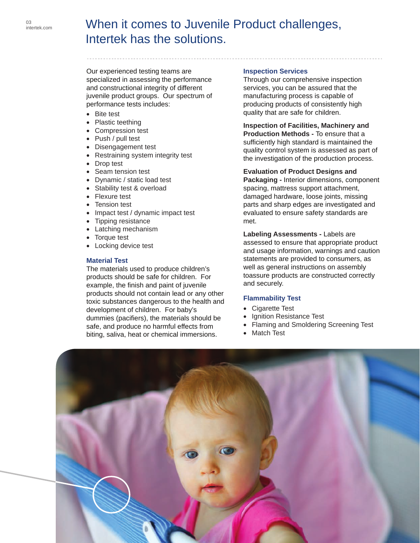# When it comes to Juvenile Product challenges, Intertek has the solutions.

Our experienced testing teams are specialized in assessing the performance and constructional integrity of different juvenile product groups. Our spectrum of performance tests includes:

- Bite test
- Plastic teething
- Compression test
- Push / pull test
- Disengagement test
- Restraining system integrity test
- Drop test
- Seam tension test
- Dynamic / static load test
- Stability test & overload
- Flexure test
- **Tension test**
- Impact test / dynamic impact test
- Tipping resistance
- Latching mechanism
- Torque test
- Locking device test

#### **Material Test**

The materials used to produce children's products should be safe for children. For example, the finish and paint of juvenile products should not contain lead or any other toxic substances dangerous to the health and development of children. For baby's dummies (pacifiers), the materials should be safe, and produce no harmful effects from biting, saliva, heat or chemical immersions.

#### **Inspection Services**

Through our comprehensive inspection services, you can be assured that the manufacturing process is capable of producing products of consistently high quality that are safe for children.

**Inspection of Facilities, Machinery and Production Methods -** To ensure that a sufficiently high standard is maintained the quality control system is assessed as part of the investigation of the production process.

#### **Evaluation of Product Designs and**

**Packaging -** Interior dimensions, component spacing, mattress support attachment, damaged hardware, loose joints, missing parts and sharp edges are investigated and evaluated to ensure safety standards are met.

**Labeling Assessments -** Labels are assessed to ensure that appropriate product and usage information, warnings and caution statements are provided to consumers, as well as general instructions on assembly toassure products are constructed correctly and securely.

#### **Flammability Test**

- Cigarette Test
- **Ignition Resistance Test**
- Flaming and Smoldering Screening Test
- **Match Test**